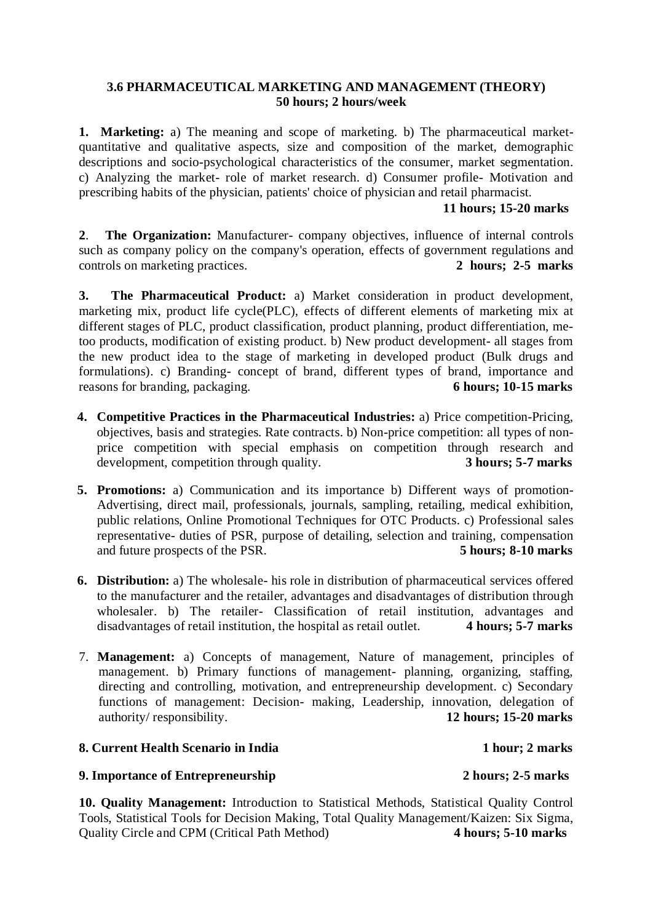## **3.6 PHARMACEUTICAL MARKETING AND MANAGEMENT (THEORY) 50 hours; 2 hours/week**

**1. Marketing:** a) The meaning and scope of marketing. b) The pharmaceutical marketquantitative and qualitative aspects, size and composition of the market, demographic descriptions and socio-psychological characteristics of the consumer, market segmentation. c) Analyzing the market- role of market research. d) Consumer profile- Motivation and prescribing habits of the physician, patients' choice of physician and retail pharmacist.

# **11 hours; 15-20 marks**

**2**. **The Organization:** Manufacturer- company objectives, influence of internal controls such as company policy on the company's operation, effects of government regulations and controls on marketing practices. **2 hours; 2-5 marks**

**3. The Pharmaceutical Product:** a) Market consideration in product development, marketing mix, product life cycle(PLC), effects of different elements of marketing mix at different stages of PLC, product classification, product planning, product differentiation, metoo products, modification of existing product. b) New product development- all stages from the new product idea to the stage of marketing in developed product (Bulk drugs and formulations). c) Branding- concept of brand, different types of brand, importance and reasons for branding, packaging. **6 hours; 10-15 marks**

- **4. Competitive Practices in the Pharmaceutical Industries:** a) Price competition-Pricing, objectives, basis and strategies. Rate contracts. b) Non-price competition: all types of nonprice competition with special emphasis on competition through research and development, competition through quality. **3 hours; 5-7 marks**
- **5. Promotions:** a) Communication and its importance b) Different ways of promotion-Advertising, direct mail, professionals, journals, sampling, retailing, medical exhibition, public relations, Online Promotional Techniques for OTC Products. c) Professional sales representative- duties of PSR, purpose of detailing, selection and training, compensation and future prospects of the PSR. **5 hours; 8-10 marks**
- **6. Distribution:** a) The wholesale- his role in distribution of pharmaceutical services offered to the manufacturer and the retailer, advantages and disadvantages of distribution through wholesaler. b) The retailer- Classification of retail institution, advantages and disadvantages of retail institution, the hospital as retail outlet. **4 hours; 5-7 marks**
- 7. **Management:** a) Concepts of management, Nature of management, principles of management. b) Primary functions of management- planning, organizing, staffing, directing and controlling, motivation, and entrepreneurship development. c) Secondary functions of management: Decision- making, Leadership, innovation, delegation of authority/ responsibility. 12 hours: 15-20 marks authority/ responsibility.

## **8. Current Health Scenario in India 1 hour; 2 marks**

### **9. Importance of Entrepreneurship 2 hours; 2-5 marks**

**10. Quality Management:** Introduction to Statistical Methods, Statistical Quality Control Tools, Statistical Tools for Decision Making, Total Quality Management/Kaizen: Six Sigma, Quality Circle and CPM (Critical Path Method) **4 hours; 5-10 marks**